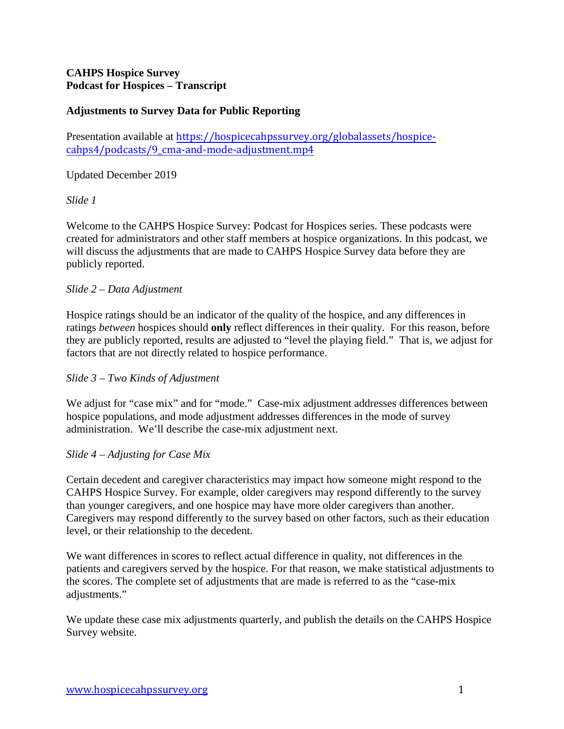# **CAHPS Hospice Survey Podcast for Hospices – Transcript**

# **Adjustments to Survey Data for Public Reporting**

Presentation available at [https://hospicecahpssurvey.org/globalassets/hospice](https://hospicecahpssurvey.org/globalassets/hospice-cahps/podcasts/9_cma-and-mode-adjustment.mp4)cahps4[/podcasts/9\\_cma-and-mode-adjustment.mp4](https://hospicecahpssurvey.org/globalassets/hospice-cahps/podcasts/9_cma-and-mode-adjustment.mp4)

## Updated December 2019

## *Slide 1*

Welcome to the CAHPS Hospice Survey: Podcast for Hospices series. These podcasts were created for administrators and other staff members at hospice organizations. In this podcast, we will discuss the adjustments that are made to CAHPS Hospice Survey data before they are publicly reported.

## *Slide 2 – Data Adjustment*

Hospice ratings should be an indicator of the quality of the hospice, and any differences in ratings *between* hospices should **only** reflect differences in their quality. For this reason, before they are publicly reported, results are adjusted to "level the playing field." That is, we adjust for factors that are not directly related to hospice performance.

## *Slide 3 – Two Kinds of Adjustment*

We adjust for "case mix" and for "mode." Case-mix adjustment addresses differences between hospice populations, and mode adjustment addresses differences in the mode of survey administration. We'll describe the case-mix adjustment next.

#### *Slide 4 – Adjusting for Case Mix*

Certain decedent and caregiver characteristics may impact how someone might respond to the CAHPS Hospice Survey. For example, older caregivers may respond differently to the survey than younger caregivers, and one hospice may have more older caregivers than another. Caregivers may respond differently to the survey based on other factors, such as their education level, or their relationship to the decedent.

We want differences in scores to reflect actual difference in quality, not differences in the patients and caregivers served by the hospice. For that reason, we make statistical adjustments to the scores. The complete set of adjustments that are made is referred to as the "case-mix adjustments."

We update these case mix adjustments quarterly, and publish the details on the CAHPS Hospice Survey website.